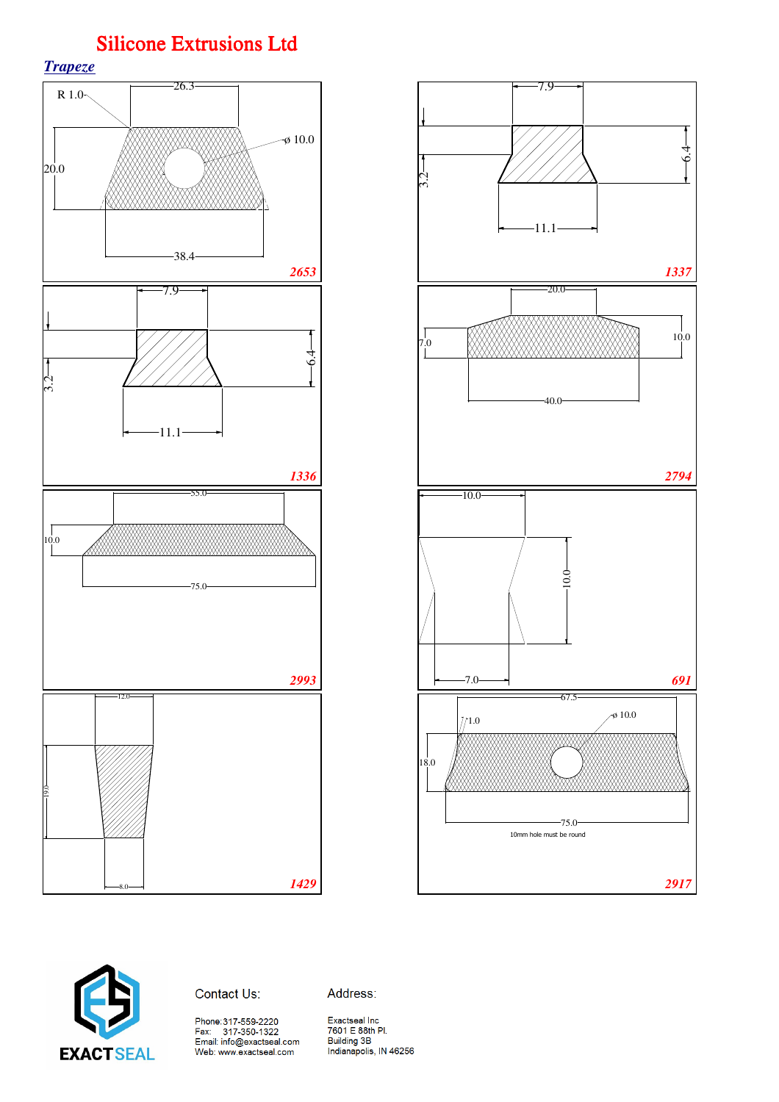*Trapeze*







Address: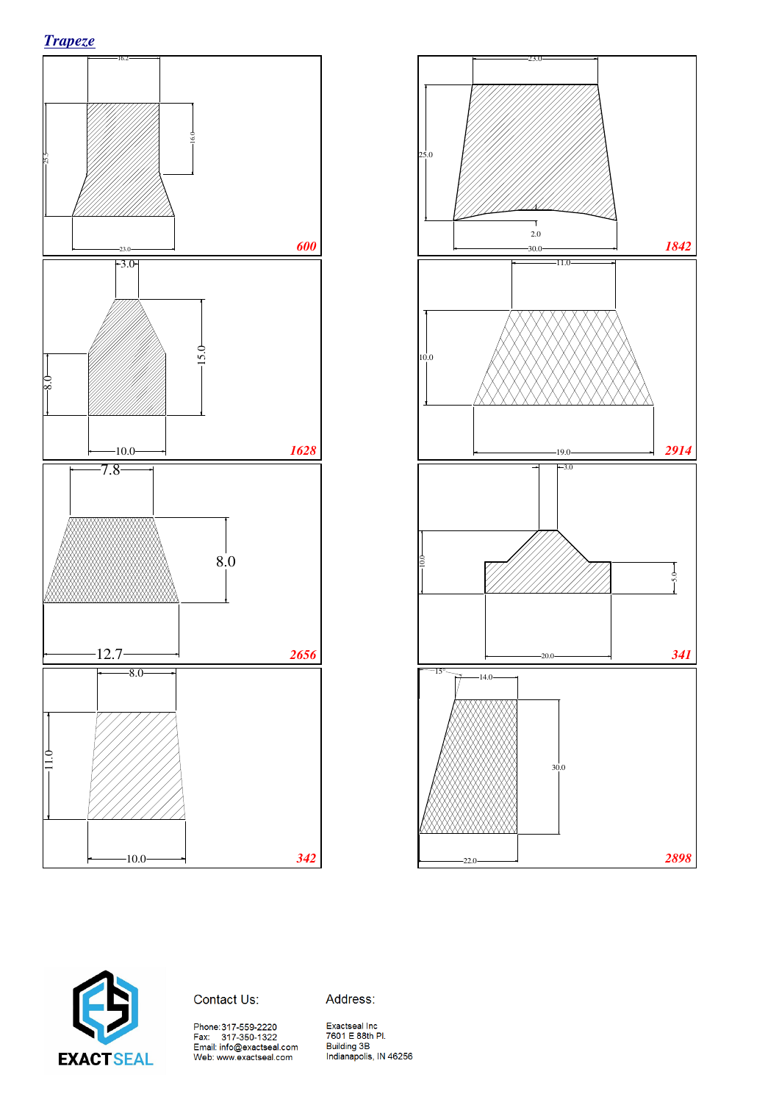







Address:

Phone:317-559-2220<br>Fax: 317-350-1322<br>Email: info@exactseal.com<br>Web: www.exactseal.com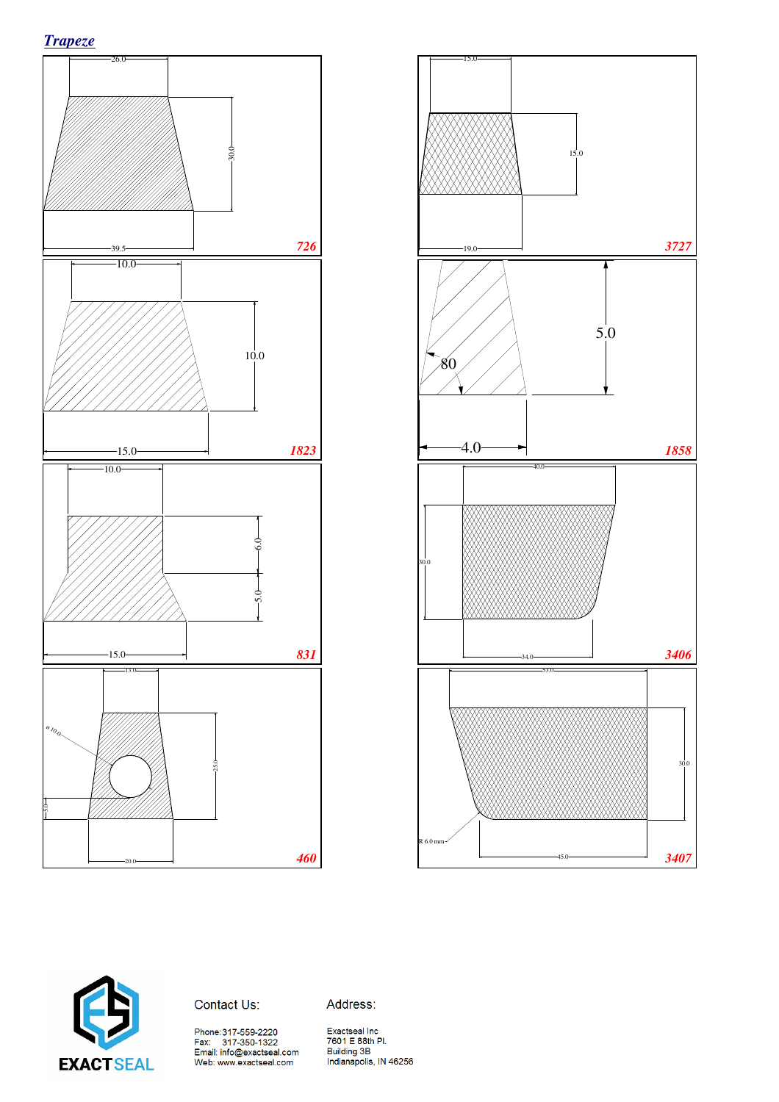





Contact Us:

Address:

Phone:317-559-2220<br>Fax: 317-350-1322<br>Email: info@exactseal.com<br>Web: www.exactseal.com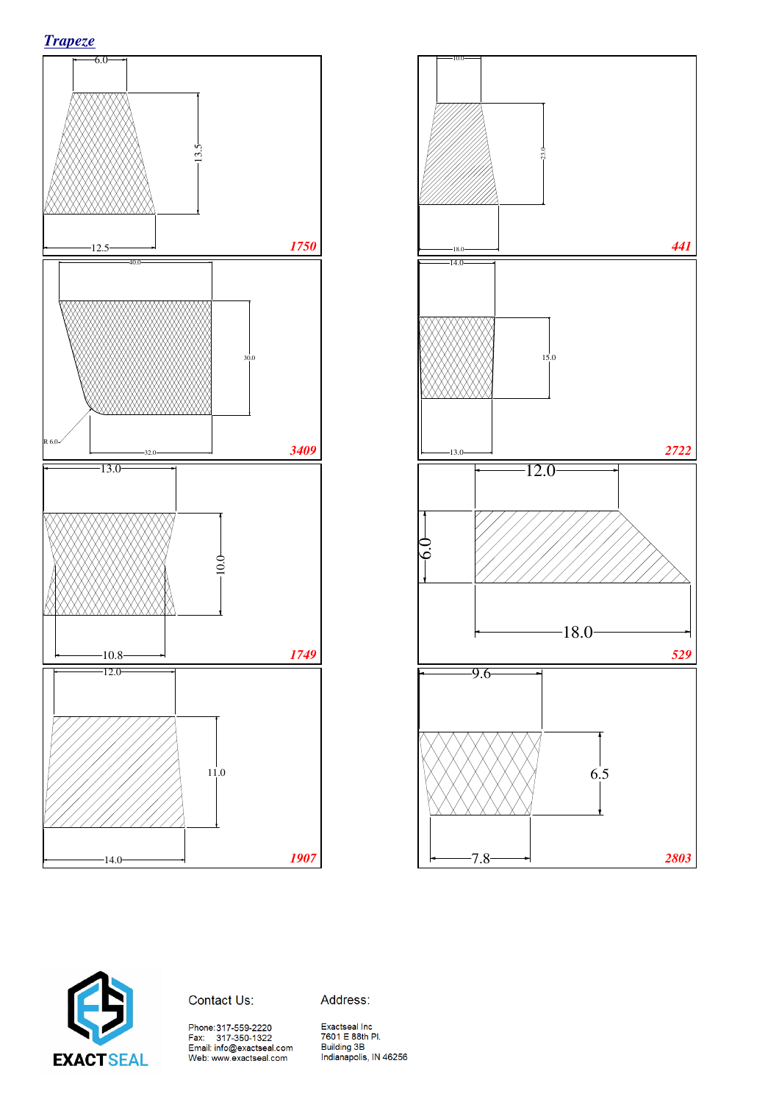





Address:

Phone:317-559-2220<br>Fax: 317-350-1322<br>Email: info@exactseal.com<br>Web: www.exactseal.com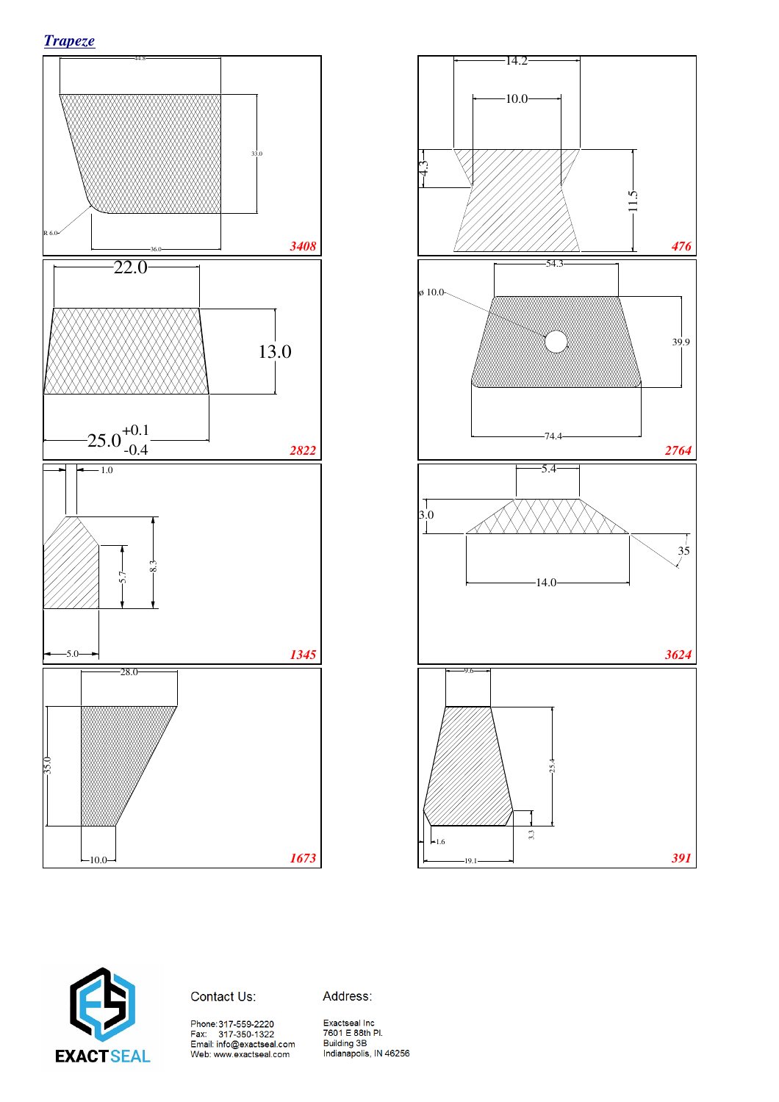





### Contact Us:

Address: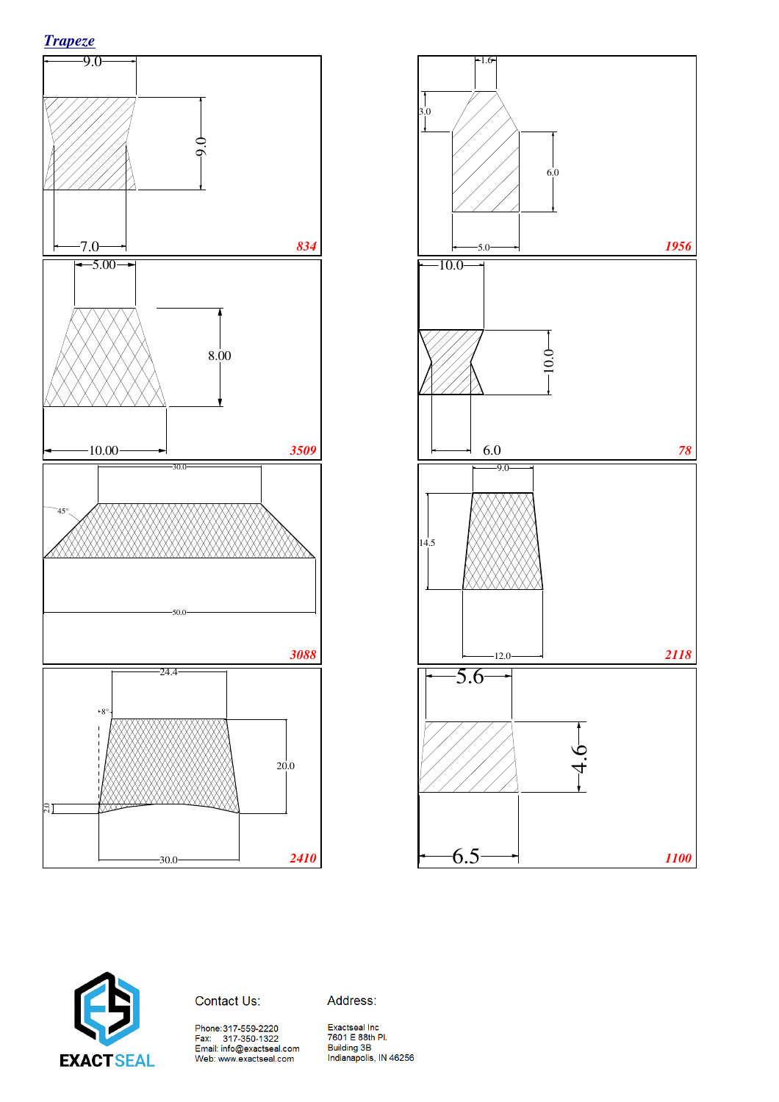







Phone:317-559-2220<br>Fax: 317-350-1322<br>Email: info@exactseal.com<br>Web: www.exactseal.com

Address: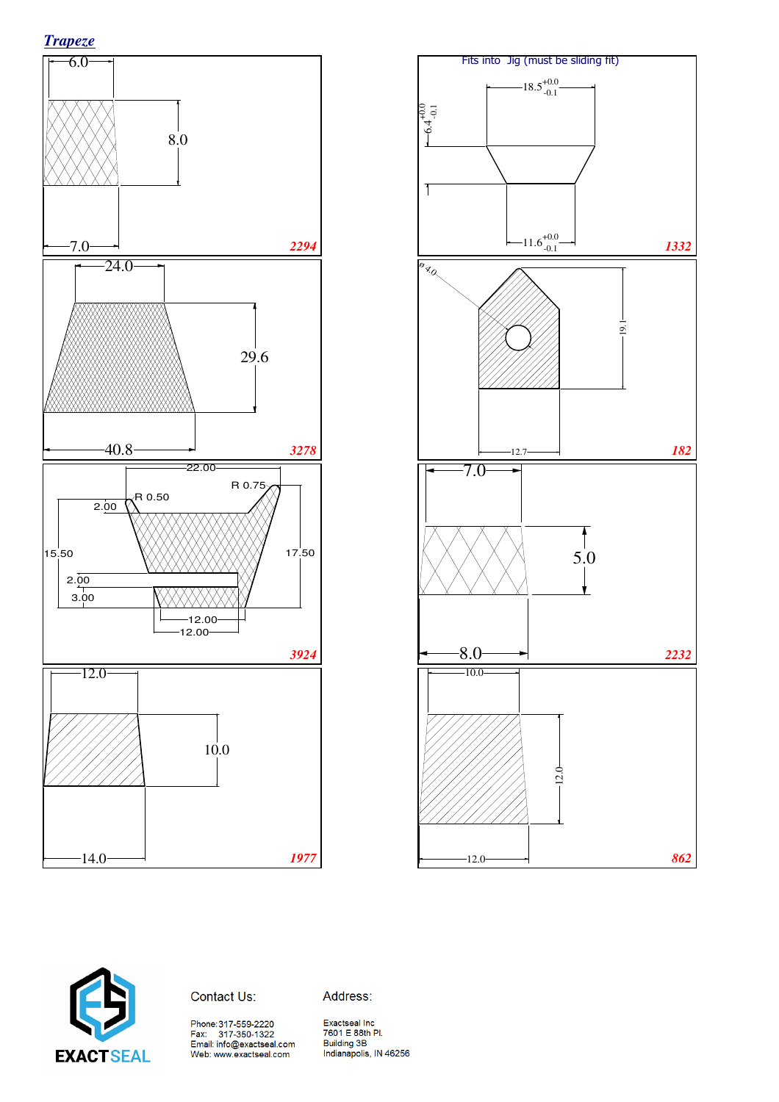





Address:

Phone:317-559-2220<br>Fax: 317-350-1322<br>Email: info@exactseal.com<br>Web: www.exactseal.com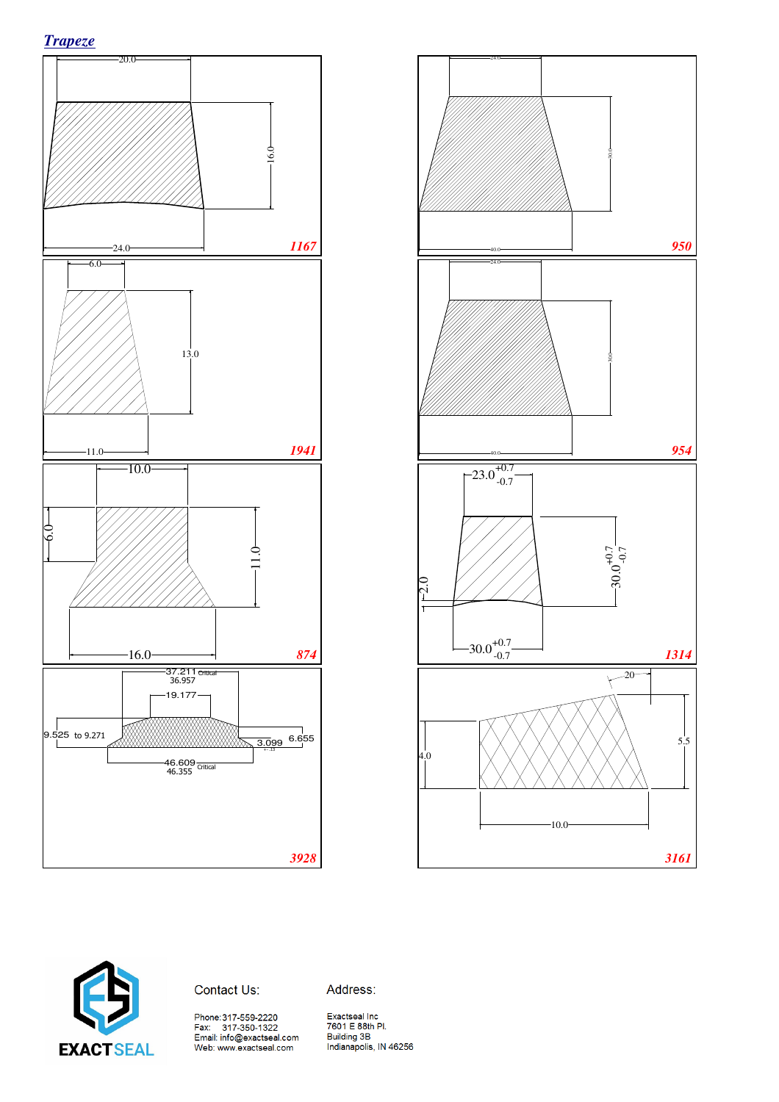







Address: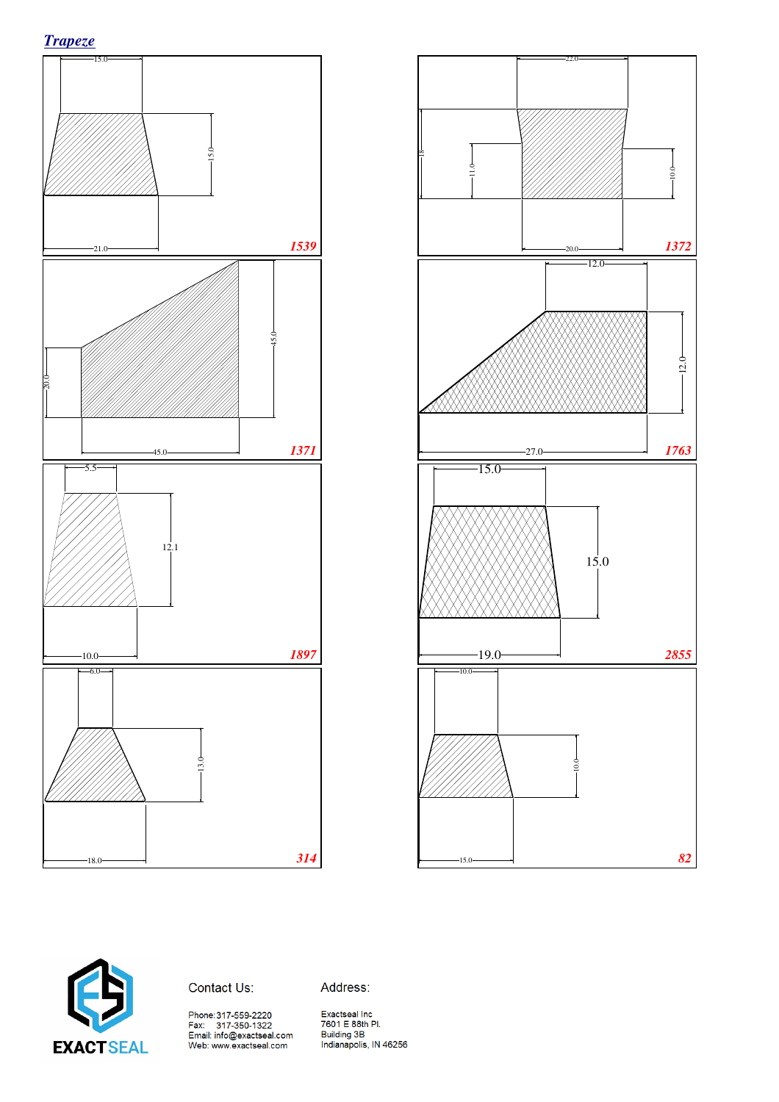





#### Contact Us:

Address: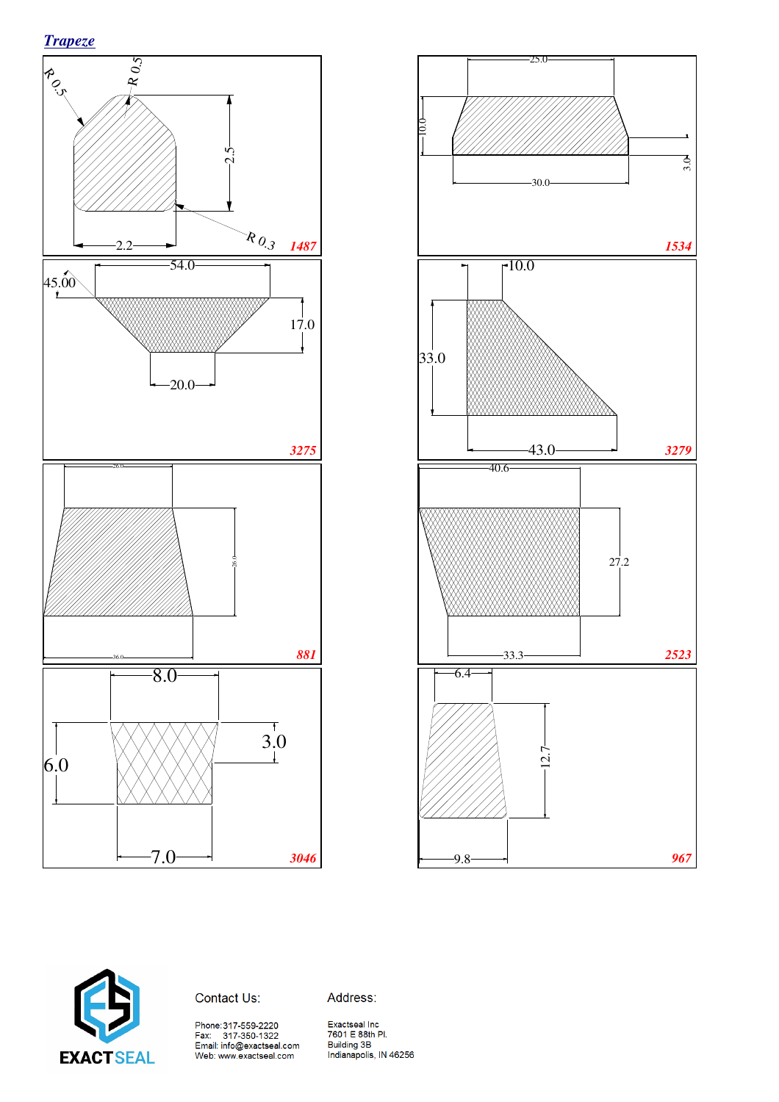





Contact Us:

Address:

Phone:317-559-2220<br>Fax: 317-350-1322<br>Email: info@exactseal.com<br>Web: www.exactseal.com